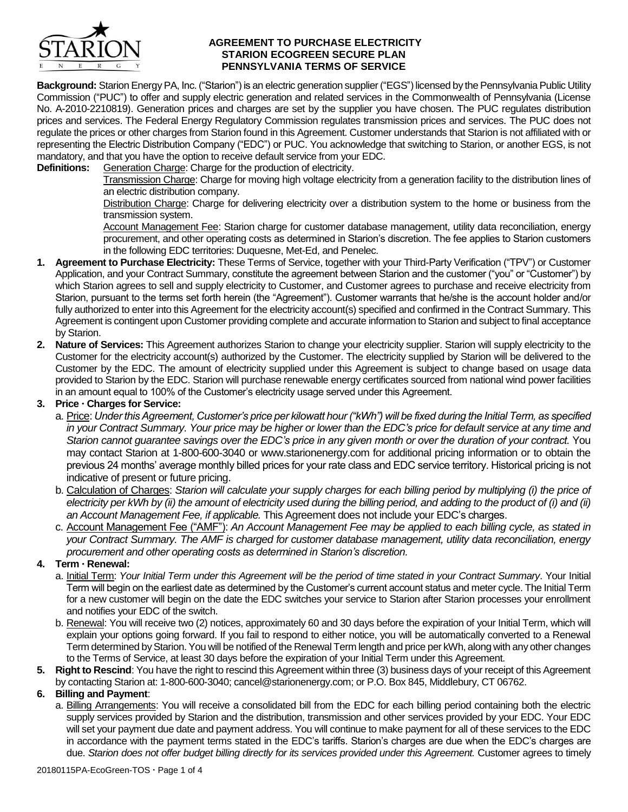

#### **AGREEMENT TO PURCHASE ELECTRICITY STARION ECOGREEN SECURE PLAN PENNSYLVANIA TERMS OF SERVICE**

**Background:** Starion EnergyPA, Inc. ("Starion") is an electric generation supplier ("EGS") licensed by the Pennsylvania Public Utility Commission ("PUC") to offer and supply electric generation and related services in the Commonwealth of Pennsylvania (License No. A-2010-2210819). Generation prices and charges are set by the supplier you have chosen. The PUC regulates distribution prices and services. The Federal Energy Regulatory Commission regulates transmission prices and services. The PUC does not regulate the prices or other charges from Starion found in this Agreement. Customer understands that Starion is not affiliated with or representing the Electric Distribution Company ("EDC") or PUC. You acknowledge that switching to Starion, or another EGS, is not mandatory, and that you have the option to receive default service from your EDC.

**Definitions:** Generation Charge: Charge for the production of electricity.

Transmission Charge: Charge for moving high voltage electricity from a generation facility to the distribution lines of an electric distribution company.

Distribution Charge: Charge for delivering electricity over a distribution system to the home or business from the transmission system.

Account Management Fee: Starion charge for customer database management, utility data reconciliation, energy procurement, and other operating costs as determined in Starion's discretion. The fee applies to Starion customers in the following EDC territories: Duquesne, Met-Ed, and Penelec.

- **1. Agreement to Purchase Electricity:** These Terms of Service, together with your Third-Party Verification ("TPV") or Customer Application, and your Contract Summary, constitute the agreement between Starion and the customer ("you" or "Customer") by which Starion agrees to sell and supply electricity to Customer, and Customer agrees to purchase and receive electricity from Starion, pursuant to the terms set forth herein (the "Agreement"). Customer warrants that he/she is the account holder and/or fully authorized to enter into this Agreement for the electricity account(s) specified and confirmed in the Contract Summary. This Agreement is contingent upon Customer providing complete and accurate information to Starion and subject to final acceptance by Starion.
- **2. Nature of Services:** This Agreement authorizes Starion to change your electricity supplier. Starion will supply electricity to the Customer for the electricity account(s) authorized by the Customer. The electricity supplied by Starion will be delivered to the Customer by the EDC. The amount of electricity supplied under this Agreement is subject to change based on usage data provided to Starion by the EDC. Starion will purchase renewable energy certificates sourced from national wind power facilities in an amount equal to 100% of the Customer's electricity usage served under this Agreement.

### **3. Price Charges for Service:**

- a. Price: *Under this Agreement, Customer's price per kilowatt hour ("kWh") will be fixed during the Initial Term, as specified in your Contract Summary. Your price may be higher or lower than the EDC's price for default service at any time and Starion cannot guarantee savings over the EDC's price in any given month or over the duration of your contract.* You may contact Starion at 1-800-600-3040 or www.starionenergy.com for additional pricing information or to obtain the previous 24 months' average monthly billed prices for your rate class and EDC service territory. Historical pricing is not indicative of present or future pricing.
- b. Calculation of Charges: *Starion will calculate your supply charges for each billing period by multiplying (i) the price of electricity per kWh by (ii) the amount of electricity used during the billing period, and adding to the product of (i) and (ii) an Account Management Fee, if applicable.* This Agreement does not include your EDC's charges.
- c. Account Management Fee ("AMF"): *An Account Management Fee may be applied to each billing cycle, as stated in your Contract Summary. The AMF is charged for customer database management, utility data reconciliation, energy procurement and other operating costs as determined in Starion's discretion.*

## **4. Term Renewal:**

- a. Initial Term: *Your Initial Term under this Agreement will be the period of time stated in your Contract Summary*. Your Initial Term will begin on the earliest date as determined by the Customer's current account status and meter cycle. The Initial Term for a new customer will begin on the date the EDC switches your service to Starion after Starion processes your enrollment and notifies your EDC of the switch.
- b. Renewal: You will receive two (2) notices, approximately 60 and 30 days before the expiration of your Initial Term, which will explain your options going forward. If you fail to respond to either notice, you will be automatically converted to a Renewal Term determined by Starion. You will be notified of the Renewal Term length and price per kWh, along with any other changes to the Terms of Service, at least 30 days before the expiration of your Initial Term under this Agreement.
- **5. Right to Rescind**: You have the right to rescind this Agreement within three (3) business days of your receipt of this Agreement by contacting Starion at: 1-800-600-3040; cancel@starionenergy.com; or P.O. Box 845, Middlebury, CT 06762.

## **6. Billing and Payment**:

a. Billing Arrangements: You will receive a consolidated bill from the EDC for each billing period containing both the electric supply services provided by Starion and the distribution, transmission and other services provided by your EDC. Your EDC will set your payment due date and payment address. You will continue to make payment for all of these services to the EDC in accordance with the payment terms stated in the EDC's tariffs. Starion's charges are due when the EDC's charges are due. *Starion does not offer budget billing directly for its services provided under this Agreement.* Customer agrees to timely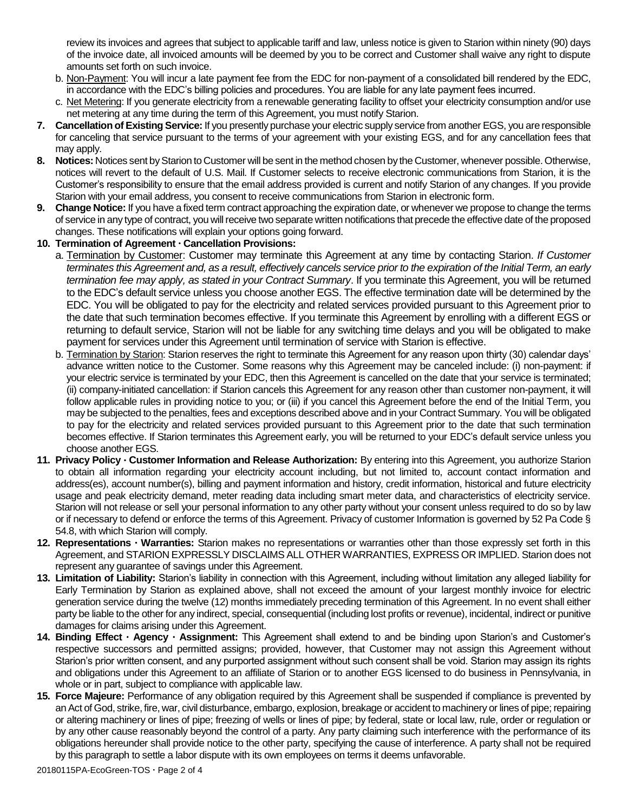review its invoices and agrees that subject to applicable tariff and law, unless notice is given to Starion within ninety (90) days of the invoice date, all invoiced amounts will be deemed by you to be correct and Customer shall waive any right to dispute amounts set forth on such invoice.

- b. Non-Payment: You will incur a late payment fee from the EDC for non-payment of a consolidated bill rendered by the EDC, in accordance with the EDC's billing policies and procedures. You are liable for any late payment fees incurred.
- c. Net Metering: If you generate electricity from a renewable generating facility to offset your electricity consumption and/or use net metering at any time during the term of this Agreement, you must notify Starion.
- **7. Cancellation of Existing Service:** If you presently purchase your electric supply service from another EGS, you are responsible for canceling that service pursuant to the terms of your agreement with your existing EGS, and for any cancellation fees that may apply.
- **8. Notices:** Notices sent by Starion to Customer will be sent in the method chosen by the Customer, whenever possible. Otherwise, notices will revert to the default of U.S. Mail. If Customer selects to receive electronic communications from Starion, it is the Customer's responsibility to ensure that the email address provided is current and notify Starion of any changes. If you provide Starion with your email address, you consent to receive communications from Starion in electronic form.
- **9. Change Notice:** If you have a fixed term contract approaching the expiration date, or whenever we propose to change the terms of service in any type of contract, you will receive two separate written notifications that precede the effective date of the proposed changes. These notifications will explain your options going forward.

## **10. Termination of Agreement Cancellation Provisions:**

- a. Termination by Customer: Customer may terminate this Agreement at any time by contacting Starion. *If Customer terminates this Agreement and, as a result, effectively cancels service prior to the expiration of the Initial Term, an early termination fee may apply, as stated in your Contract Summary*. If you terminate this Agreement, you will be returned to the EDC's default service unless you choose another EGS. The effective termination date will be determined by the EDC. You will be obligated to pay for the electricity and related services provided pursuant to this Agreement prior to the date that such termination becomes effective. If you terminate this Agreement by enrolling with a different EGS or returning to default service, Starion will not be liable for any switching time delays and you will be obligated to make payment for services under this Agreement until termination of service with Starion is effective.
- b. Termination by Starion: Starion reserves the right to terminate this Agreement for any reason upon thirty (30) calendar days' advance written notice to the Customer. Some reasons why this Agreement may be canceled include: (i) non-payment: if your electric service is terminated by your EDC, then this Agreement is cancelled on the date that your service is terminated; (ii) company-initiated cancellation: if Starion cancels this Agreement for any reason other than customer non-payment, it will follow applicable rules in providing notice to you; or (iii) if you cancel this Agreement before the end of the Initial Term, you may be subjected to the penalties, fees and exceptions described above and in your Contract Summary. You will be obligated to pay for the electricity and related services provided pursuant to this Agreement prior to the date that such termination becomes effective. If Starion terminates this Agreement early, you will be returned to your EDC's default service unless you choose another EGS.
- **11. Privacy Policy Customer Information and Release Authorization:** By entering into this Agreement, you authorize Starion to obtain all information regarding your electricity account including, but not limited to, account contact information and address(es), account number(s), billing and payment information and history, credit information, historical and future electricity usage and peak electricity demand, meter reading data including smart meter data, and characteristics of electricity service. Starion will not release or sell your personal information to any other party without your consent unless required to do so by law or if necessary to defend or enforce the terms of this Agreement. Privacy of customer Information is governed by 52 Pa Code § 54.8, with which Starion will comply.
- **12. Representations Warranties:** Starion makes no representations or warranties other than those expressly set forth in this Agreement, and STARION EXPRESSLY DISCLAIMS ALL OTHER WARRANTIES, EXPRESS OR IMPLIED. Starion does not represent any guarantee of savings under this Agreement.
- **13. Limitation of Liability:** Starion's liability in connection with this Agreement, including without limitation any alleged liability for Early Termination by Starion as explained above, shall not exceed the amount of your largest monthly invoice for electric generation service during the twelve (12) months immediately preceding termination of this Agreement. In no event shall either party be liable to the other for any indirect, special, consequential (including lost profits or revenue), incidental, indirect or punitive damages for claims arising under this Agreement.
- **14. Binding Effect Agency Assignment:** This Agreement shall extend to and be binding upon Starion's and Customer's respective successors and permitted assigns; provided, however, that Customer may not assign this Agreement without Starion's prior written consent, and any purported assignment without such consent shall be void. Starion may assign its rights and obligations under this Agreement to an affiliate of Starion or to another EGS licensed to do business in Pennsylvania, in whole or in part, subject to compliance with applicable law.
- **15. Force Majeure:** Performance of any obligation required by this Agreement shall be suspended if compliance is prevented by an Act of God, strike, fire, war, civil disturbance, embargo, explosion, breakage or accident to machinery or lines of pipe; repairing or altering machinery or lines of pipe; freezing of wells or lines of pipe; by federal, state or local law, rule, order or regulation or by any other cause reasonably beyond the control of a party. Any party claiming such interference with the performance of its obligations hereunder shall provide notice to the other party, specifying the cause of interference. A party shall not be required by this paragraph to settle a labor dispute with its own employees on terms it deems unfavorable.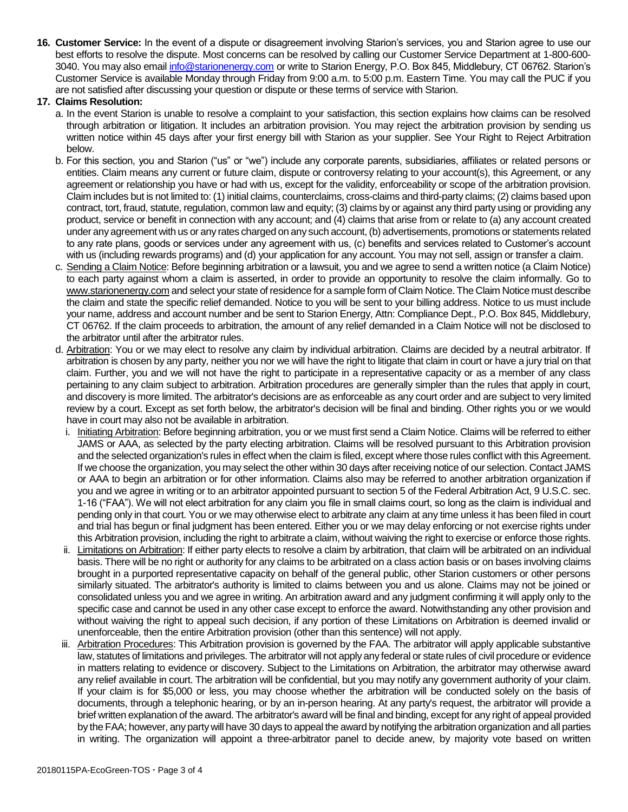**16. Customer Service:** In the event of a dispute or disagreement involving Starion's services, you and Starion agree to use our best efforts to resolve the dispute. Most concerns can be resolved by calling our Customer Service Department at 1-800-600 3040. You may also email [info@starionenergy.com](mailto:info@starionenergy.com) or write to Starion Energy, P.O. Box 845, Middlebury, CT 06762. Starion's Customer Service is available Monday through Friday from 9:00 a.m. to 5:00 p.m. Eastern Time. You may call the PUC if you are not satisfied after discussing your question or dispute or these terms of service with Starion.

### **17. Claims Resolution:**

- a. In the event Starion is unable to resolve a complaint to your satisfaction, this section explains how claims can be resolved through arbitration or litigation. It includes an arbitration provision. You may reject the arbitration provision by sending us written notice within 45 days after your first energy bill with Starion as your supplier. See Your Right to Reject Arbitration below.
- b. For this section, you and Starion ("us" or "we") include any corporate parents, subsidiaries, affiliates or related persons or entities. Claim means any current or future claim, dispute or controversy relating to your account(s), this Agreement, or any agreement or relationship you have or had with us, except for the validity, enforceability or scope of the arbitration provision. Claim includes but is not limited to: (1) initial claims, counterclaims, cross-claims and third-party claims; (2) claims based upon contract, tort, fraud, statute, regulation, common law and equity; (3) claims by or against any third party using or providing any product, service or benefit in connection with any account; and (4) claims that arise from or relate to (a) any account created under any agreement with us or any rates charged on any such account, (b) advertisements, promotions or statements related to any rate plans, goods or services under any agreement with us, (c) benefits and services related to Customer's account with us (including rewards programs) and (d) your application for any account. You may not sell, assign or transfer a claim.
- c. Sending a Claim Notice: Before beginning arbitration or a lawsuit, you and we agree to send a written notice (a Claim Notice) to each party against whom a claim is asserted, in order to provide an opportunity to resolve the claim informally. Go to www.starionenergy.com and select your state of residence for a sample form of Claim Notice. The Claim Notice must describe the claim and state the specific relief demanded. Notice to you will be sent to your billing address. Notice to us must include your name, address and account number and be sent to Starion Energy, Attn: Compliance Dept., P.O. Box 845, Middlebury, CT 06762. If the claim proceeds to arbitration, the amount of any relief demanded in a Claim Notice will not be disclosed to the arbitrator until after the arbitrator rules.
- d. Arbitration: You or we may elect to resolve any claim by individual arbitration. Claims are decided by a neutral arbitrator. If arbitration is chosen by any party, neither you nor we will have the right to litigate that claim in court or have a jury trial on that claim. Further, you and we will not have the right to participate in a representative capacity or as a member of any class pertaining to any claim subject to arbitration. Arbitration procedures are generally simpler than the rules that apply in court, and discovery is more limited. The arbitrator's decisions are as enforceable as any court order and are subject to very limited review by a court. Except as set forth below, the arbitrator's decision will be final and binding. Other rights you or we would have in court may also not be available in arbitration.
	- i. Initiating Arbitration: Before beginning arbitration, you or we must first send a Claim Notice. Claims will be referred to either JAMS or AAA, as selected by the party electing arbitration. Claims will be resolved pursuant to this Arbitration provision and the selected organization's rules in effect when the claim is filed, except where those rules conflict with this Agreement. If we choose the organization, you may select the other within 30 days after receiving notice of our selection. Contact JAMS or AAA to begin an arbitration or for other information. Claims also may be referred to another arbitration organization if you and we agree in writing or to an arbitrator appointed pursuant to section 5 of the Federal Arbitration Act, 9 U.S.C. sec. 1-16 ("FAA"). We will not elect arbitration for any claim you file in small claims court, so long as the claim is individual and pending only in that court. You or we may otherwise elect to arbitrate any claim at any time unless it has been filed in court and trial has begun or final judgment has been entered. Either you or we may delay enforcing or not exercise rights under this Arbitration provision, including the right to arbitrate a claim, without waiving the right to exercise or enforce those rights.
	- ii. Limitations on Arbitration: If either party elects to resolve a claim by arbitration, that claim will be arbitrated on an individual basis. There will be no right or authority for any claims to be arbitrated on a class action basis or on bases involving claims brought in a purported representative capacity on behalf of the general public, other Starion customers or other persons similarly situated. The arbitrator's authority is limited to claims between you and us alone. Claims may not be joined or consolidated unless you and we agree in writing. An arbitration award and any judgment confirming it will apply only to the specific case and cannot be used in any other case except to enforce the award. Notwithstanding any other provision and without waiving the right to appeal such decision, if any portion of these Limitations on Arbitration is deemed invalid or unenforceable, then the entire Arbitration provision (other than this sentence) will not apply.
- iii. Arbitration Procedures: This Arbitration provision is governed by the FAA. The arbitrator will apply applicable substantive law, statutes of limitations and privileges. The arbitrator will not apply any federal or state rules of civil procedure or evidence in matters relating to evidence or discovery. Subject to the Limitations on Arbitration, the arbitrator may otherwise award any relief available in court. The arbitration will be confidential, but you may notify any government authority of your claim. If your claim is for \$5,000 or less, you may choose whether the arbitration will be conducted solely on the basis of documents, through a telephonic hearing, or by an in-person hearing. At any party's request, the arbitrator will provide a brief written explanation of the award. The arbitrator's award will be final and binding, except for any right of appeal provided by the FAA; however, any party will have 30 days to appeal the award by notifying the arbitration organization and all parties in writing. The organization will appoint a three-arbitrator panel to decide anew, by majority vote based on written